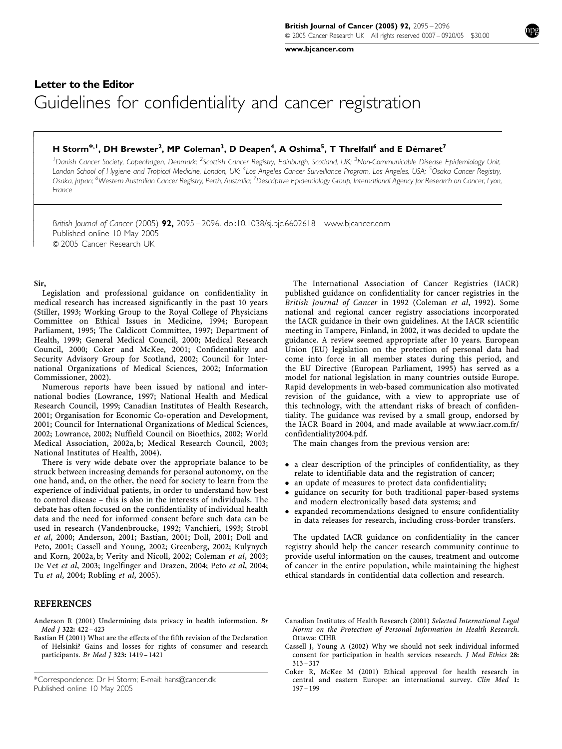www.bjcancer.com

## Letter to the Editor Guidelines for confidentiality and cancer registration

## H Storm<sup>\*, 1</sup>, DH Brewster<sup>2</sup>, MP Coleman<sup>3</sup>, D Deapen<sup>4</sup>, A Oshima<sup>5</sup>, T Threlfall<sup>6</sup> and E Démaret<sup>7</sup>

<sup>1</sup> Danish Cancer Society, Copenhagen, Denmark; <sup>2</sup>Scottish Cancer Registry, Edinburgh, Scotland, UK; <sup>3</sup>Non-Communicable Disease Epidemiology Unit, London School of Hygiene and Tropical Medicine, London, UK; <sup>4</sup>Los Angeles Cancer Surveillance Program, Los Angeles, USA; <sup>5</sup>Osaka Cancer Registry, Osaka, Japan; <sup>6</sup>Westem Australian Cancer Registry, Perth, Australia; <sup>7</sup>Descriptive Epidemiology Group, International Agency for Research on Cancer, Lyon, France

British Journal of Cancer (2005) 92, 2095 – 2096. doi:10.1038/sj.bjc.6602618 www.bjcancer.com Published online 10 May 2005 & 2005 Cancer Research UK

Sir,

 $\overline{1}$  $\overline{\phantom{a}}$  $\overline{\phantom{a}}$  $\overline{\phantom{a}}$  $\overline{\phantom{a}}$  $\overline{\phantom{a}}$  $\mathcal{L}$  $\overline{\phantom{a}}$  $\overline{\phantom{a}}$  $\overline{\phantom{a}}$  $\mathcal{L}$  $\overline{\phantom{a}}$  $\overline{\phantom{a}}$  $\overline{\phantom{a}}$ ł  $\mathcal{L}$  $\overline{\phantom{a}}$  $\overline{\phantom{a}}$  $\overline{\phantom{a}}$  $\overline{\phantom{a}}$  $\mathcal{L}$  $\overline{\phantom{a}}$ 

Legislation and professional guidance on confidentiality in medical research has increased significantly in the past 10 years (Stiller, 1993; Working Group to the Royal College of Physicians Committee on Ethical Issues in Medicine, 1994; European Parliament, 1995; The Caldicott Committee, 1997; Department of Health, 1999; General Medical Council, 2000; Medical Research Council, 2000; Coker and McKee, 2001; Confidentiality and Security Advisory Group for Scotland, 2002; Council for International Organizations of Medical Sciences, 2002; Information Commissioner, 2002).

Numerous reports have been issued by national and international bodies (Lowrance, 1997; National Health and Medical Research Council, 1999; Canadian Institutes of Health Research, 2001; Organisation for Economic Co-operation and Development, 2001; Council for International Organizations of Medical Sciences, 2002; Lowrance, 2002; Nuffield Council on Bioethics, 2002; World Medical Association, 2002a, b; Medical Research Council, 2003; National Institutes of Health, 2004).

There is very wide debate over the appropriate balance to be struck between increasing demands for personal autonomy, on the one hand, and, on the other, the need for society to learn from the experience of individual patients, in order to understand how best to control disease – this is also in the interests of individuals. The debate has often focused on the confidentiality of individual health data and the need for informed consent before such data can be used in research (Vandenbroucke, 1992; Vanchieri, 1993; Strobl et al, 2000; Anderson, 2001; Bastian, 2001; Doll, 2001; Doll and Peto, 2001; Cassell and Young, 2002; Greenberg, 2002; Kulynych and Korn, 2002a, b; Verity and Nicoll, 2002; Coleman et al, 2003; De Vet et al, 2003; Ingelfinger and Drazen, 2004; Peto et al, 2004; Tu et al, 2004; Robling et al, 2005).

## **REFERENCES**

- Anderson R (2001) Undermining data privacy in health information. Br Med J 322: 422 – 423
- Bastian H (2001) What are the effects of the fifth revision of the Declaration of Helsinki? Gains and losses for rights of consumer and research participants. Br Med J 323: 1419 – 1421

\*Correspondence: Dr H Storm; E-mail: hans@cancer.dk Published online 10 May 2005

The International Association of Cancer Registries (IACR) published guidance on confidentiality for cancer registries in the British Journal of Cancer in 1992 (Coleman et al, 1992). Some national and regional cancer registry associations incorporated the IACR guidance in their own guidelines. At the IACR scientific meeting in Tampere, Finland, in 2002, it was decided to update the guidance. A review seemed appropriate after 10 years. European Union (EU) legislation on the protection of personal data had come into force in all member states during this period, and the EU Directive (European Parliament, 1995) has served as a model for national legislation in many countries outside Europe. Rapid developments in web-based communication also motivated revision of the guidance, with a view to appropriate use of this technology, with the attendant risks of breach of confidentiality. The guidance was revised by a small group, endorsed by the IACR Board in 2004, and made available at www.iacr.com.fr/ confidentiality2004.pdf.

The main changes from the previous version are:

- a clear description of the principles of confidentiality, as they relate to identifiable data and the registration of cancer;
- an update of measures to protect data confidentiality;
- guidance on security for both traditional paper-based systems and modern electronically based data systems; and
- expanded recommendations designed to ensure confidentiality in data releases for research, including cross-border transfers.

The updated IACR guidance on confidentiality in the cancer registry should help the cancer research community continue to provide useful information on the causes, treatment and outcome of cancer in the entire population, while maintaining the highest ethical standards in confidential data collection and research.

- Canadian Institutes of Health Research (2001) Selected International Legal Norms on the Protection of Personal Information in Health Research. Ottawa: CIHR
- Cassell J, Young A (2002) Why we should not seek individual informed consent for participation in health services research. J Med Ethics 28: 313 – 317
- Coker R, McKee M (2001) Ethical approval for health research in central and eastern Europe: an international survey. Clin Med 1: 197 – 199